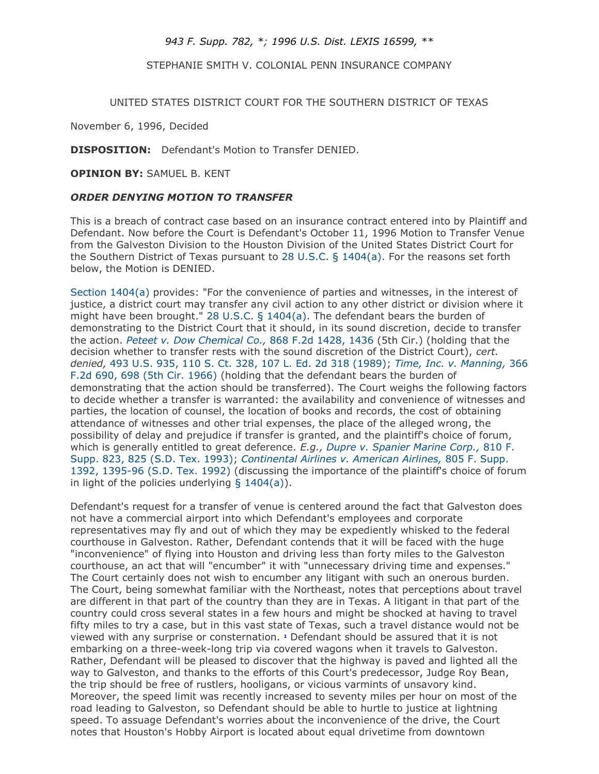## *943 F. Supp. 782, \*; 1996 U.S. Dist. LEXIS 16599, \*\**

STEPHANIE SMITH V. COLONIAL PENN INSURANCE COMPANY

UNITED STATES DISTRICT COURT FOR THE SOUTHERN DISTRICT OF TEXAS

November 6, 1996, Decided

**DISPOSITION:** Defendant's Motion to Transfer DENIED.

**OPINION BY:** SAMUEL B. KENT

## *ORDER DENYING MOTION TO TRANSFER*

This is a breach of contract case based on an insurance contract entered into by Plaintiff and Defendant. Now before the Court is Defendant's October 11, 1996 Motion to Transfer Venue from the Galveston Division to the Houston Division of the United States District Court for the Southern District of Texas pursuant to [28 U.S.C. § 1404\(a\).](http://www.lexis.com/research/buttonTFLink?_m=f666635602481163aa4f889eb8095b42&_xfercite=%3ccite%20cc%3d%22USA%22%3e%3c%21%5bCDATA%5b943%20F.%20Supp.%20782%5d%5d%3e%3c%2fcite%3e&_butType=4&_butStat=0&_butNum=6&_butInline=1&_butinfo=28%20U.S.C.%201404&_fmtstr=FULL&docnum=1&_startdoc=1&wchp=dGLzVzB-zSkAz&_md5=6199c5728c2d4b7c9acf9acc9bd356ac) For the reasons set forth below, the Motion is DENIED.

[Section 1404\(a\)](http://www.lexis.com/research/buttonTFLink?_m=f666635602481163aa4f889eb8095b42&_xfercite=%3ccite%20cc%3d%22USA%22%3e%3c%21%5bCDATA%5b943%20F.%20Supp.%20782%5d%5d%3e%3c%2fcite%3e&_butType=4&_butStat=0&_butNum=8&_butInline=1&_butinfo=28%20U.S.C.%201404&_fmtstr=FULL&docnum=1&_startdoc=1&wchp=dGLzVzB-zSkAz&_md5=ef2d99718d152ad5c2111d582dd800bc) provides: "For the convenience of parties and witnesses, in the interest of justice, a district court may transfer any civil action to any other district or division where it might have been brought." [28 U.S.C. § 1404\(a\).](http://www.lexis.com/research/buttonTFLink?_m=f666635602481163aa4f889eb8095b42&_xfercite=%3ccite%20cc%3d%22USA%22%3e%3c%21%5bCDATA%5b943%20F.%20Supp.%20782%5d%5d%3e%3c%2fcite%3e&_butType=4&_butStat=0&_butNum=9&_butInline=1&_butinfo=28%20U.S.C.%201404&_fmtstr=FULL&docnum=1&_startdoc=1&wchp=dGLzVzB-zSkAz&_md5=fd60cf07f2d22b5a4cc3b089c6e11580) The defendant bears the burden of demonstrating to the District Court that it should, in its sound discretion, decide to transfer the action. *[Peteet v. Dow Chemical Co.,](http://www.lexis.com/research/buttonTFLink?_m=f666635602481163aa4f889eb8095b42&_xfercite=%3ccite%20cc%3d%22USA%22%3e%3c%21%5bCDATA%5b943%20F.%20Supp.%20782%5d%5d%3e%3c%2fcite%3e&_butType=3&_butStat=2&_butNum=10&_butInline=1&_butinfo=%3ccite%20cc%3d%22USA%22%3e%3c%21%5bCDATA%5b868%20F.2d%201428%2c%201436%5d%5d%3e%3c%2fcite%3e&_fmtstr=FULL&docnum=1&_startdoc=1&wchp=dGLzVzB-zSkAz&_md5=7aaccee44a43faa99812b71274246aec)* 868 F.2d 1428, 1436 (5th Cir.) (holding that the decision whether to transfer rests with the sound discretion of the District Court), *cert. denied,* [493 U.S. 935, 110 S. Ct. 328, 107 L. Ed. 2d 318 \(1989\);](http://www.lexis.com/research/buttonTFLink?_m=f666635602481163aa4f889eb8095b42&_xfercite=%3ccite%20cc%3d%22USA%22%3e%3c%21%5bCDATA%5b943%20F.%20Supp.%20782%5d%5d%3e%3c%2fcite%3e&_butType=3&_butStat=2&_butNum=11&_butInline=1&_butinfo=%3ccite%20cc%3d%22USA%22%3e%3c%21%5bCDATA%5b493%20U.S.%20935%5d%5d%3e%3c%2fcite%3e&_fmtstr=FULL&docnum=1&_startdoc=1&wchp=dGLzVzB-zSkAz&_md5=9f568ba9c15caa9394d547b2cafe8bb9) *[Time, Inc. v. Manning,](http://www.lexis.com/research/buttonTFLink?_m=f666635602481163aa4f889eb8095b42&_xfercite=%3ccite%20cc%3d%22USA%22%3e%3c%21%5bCDATA%5b943%20F.%20Supp.%20782%5d%5d%3e%3c%2fcite%3e&_butType=3&_butStat=2&_butNum=12&_butInline=1&_butinfo=%3ccite%20cc%3d%22USA%22%3e%3c%21%5bCDATA%5b366%20F.2d%20690%2c%20698%5d%5d%3e%3c%2fcite%3e&_fmtstr=FULL&docnum=1&_startdoc=1&wchp=dGLzVzB-zSkAz&_md5=90e1eb360ea7a289228ddaa97ce28e1d)* 366 [F.2d 690, 698 \(5th Cir. 1966\)](http://www.lexis.com/research/buttonTFLink?_m=f666635602481163aa4f889eb8095b42&_xfercite=%3ccite%20cc%3d%22USA%22%3e%3c%21%5bCDATA%5b943%20F.%20Supp.%20782%5d%5d%3e%3c%2fcite%3e&_butType=3&_butStat=2&_butNum=12&_butInline=1&_butinfo=%3ccite%20cc%3d%22USA%22%3e%3c%21%5bCDATA%5b366%20F.2d%20690%2c%20698%5d%5d%3e%3c%2fcite%3e&_fmtstr=FULL&docnum=1&_startdoc=1&wchp=dGLzVzB-zSkAz&_md5=90e1eb360ea7a289228ddaa97ce28e1d) (holding that the defendant bears the burden of demonstrating that the action should be transferred). The Court weighs the following factors to decide whether a transfer is warranted: the availability and convenience of witnesses and parties, the location of counsel, the location of books and records, the cost of obtaining attendance of witnesses and other trial expenses, the place of the alleged wrong, the possibility of delay and prejudice if transfer is granted, and the plaintiff's choice of forum, which is generally entitled to great deference. *E.g., [Dupre v. Spanier Marine Corp.,](http://www.lexis.com/research/buttonTFLink?_m=f666635602481163aa4f889eb8095b42&_xfercite=%3ccite%20cc%3d%22USA%22%3e%3c%21%5bCDATA%5b943%20F.%20Supp.%20782%5d%5d%3e%3c%2fcite%3e&_butType=3&_butStat=2&_butNum=13&_butInline=1&_butinfo=%3ccite%20cc%3d%22USA%22%3e%3c%21%5bCDATA%5b810%20F.%20Supp.%20823%2c%20825%5d%5d%3e%3c%2fcite%3e&_fmtstr=FULL&docnum=1&_startdoc=1&wchp=dGLzVzB-zSkAz&_md5=7cf9cdc359735ac072df1ff9c527ca67)* 810 F. [Supp. 823, 825 \(S.D. Tex. 1993\);](http://www.lexis.com/research/buttonTFLink?_m=f666635602481163aa4f889eb8095b42&_xfercite=%3ccite%20cc%3d%22USA%22%3e%3c%21%5bCDATA%5b943%20F.%20Supp.%20782%5d%5d%3e%3c%2fcite%3e&_butType=3&_butStat=2&_butNum=13&_butInline=1&_butinfo=%3ccite%20cc%3d%22USA%22%3e%3c%21%5bCDATA%5b810%20F.%20Supp.%20823%2c%20825%5d%5d%3e%3c%2fcite%3e&_fmtstr=FULL&docnum=1&_startdoc=1&wchp=dGLzVzB-zSkAz&_md5=7cf9cdc359735ac072df1ff9c527ca67) *[Continental Airlines v. American Airlines,](http://www.lexis.com/research/buttonTFLink?_m=f666635602481163aa4f889eb8095b42&_xfercite=%3ccite%20cc%3d%22USA%22%3e%3c%21%5bCDATA%5b943%20F.%20Supp.%20782%5d%5d%3e%3c%2fcite%3e&_butType=3&_butStat=2&_butNum=14&_butInline=1&_butinfo=%3ccite%20cc%3d%22USA%22%3e%3c%21%5bCDATA%5b805%20F.%20Supp.%201392%2c%201395%5d%5d%3e%3c%2fcite%3e&_fmtstr=FULL&docnum=1&_startdoc=1&wchp=dGLzVzB-zSkAz&_md5=8caea2829c3a6ba0741a3cc5e9766327)* 805 F. Supp. [1392, 1395-96 \(S.D. Tex. 1992\)](http://www.lexis.com/research/buttonTFLink?_m=f666635602481163aa4f889eb8095b42&_xfercite=%3ccite%20cc%3d%22USA%22%3e%3c%21%5bCDATA%5b943%20F.%20Supp.%20782%5d%5d%3e%3c%2fcite%3e&_butType=3&_butStat=2&_butNum=14&_butInline=1&_butinfo=%3ccite%20cc%3d%22USA%22%3e%3c%21%5bCDATA%5b805%20F.%20Supp.%201392%2c%201395%5d%5d%3e%3c%2fcite%3e&_fmtstr=FULL&docnum=1&_startdoc=1&wchp=dGLzVzB-zSkAz&_md5=8caea2829c3a6ba0741a3cc5e9766327) (discussing the importance of the plaintiff's choice of forum in light of the policies underlying  $\S$  1404(a)).

Defendant's request for a transfer of venue is centered around the fact that Galveston does not have a commercial airport into which Defendant's employees and corporate representatives may fly and out of which they may be expediently whisked to the federal courthouse in Galveston. Rather, Defendant contends that it will be faced with the huge "inconvenience" of flying into Houston and driving less than forty miles to the Galveston courthouse, an act that will "encumber" it with "unnecessary driving time and expenses." The Court certainly does not wish to encumber any litigant with such an onerous burden. The Court, being somewhat familiar with the Northeast, notes that perceptions about travel are different in that part of the country than they are in Texas. A litigant in that part of the country could cross several states in a few hours and might be shocked at having to travel fifty miles to try a case, but in this vast state of Texas, such a travel distance would not be viewed with any surprise or consternation. **[1](http://www.lexis.com/research/retrieve?_m=8a25c5da75793bc76eddb9fb9d8737e2&csvc=fo&cform=searchForm&_fmtstr=FULL&docnum=1&_startdoc=1&wchp=dGLzVzB-zSkAz&_md5=c5943c356a3e4a3bd68b81c7acf3ce95#fnote1)** Defendant should be assured that it is not embarking on a three-week-long trip via covered wagons when it travels to Galveston. Rather, Defendant will be pleased to discover that the highway is paved and lighted all the way to Galveston, and thanks to the efforts of this Court's predecessor, Judge Roy Bean, the trip should be free of rustlers, hooligans, or vicious varmints of unsavory kind. Moreover, the speed limit was recently increased to seventy miles per hour on most of the road leading to Galveston, so Defendant should be able to hurtle to justice at lightning speed. To assuage Defendant's worries about the inconvenience of the drive, the Court notes that Houston's Hobby Airport is located about equal drivetime from downtown